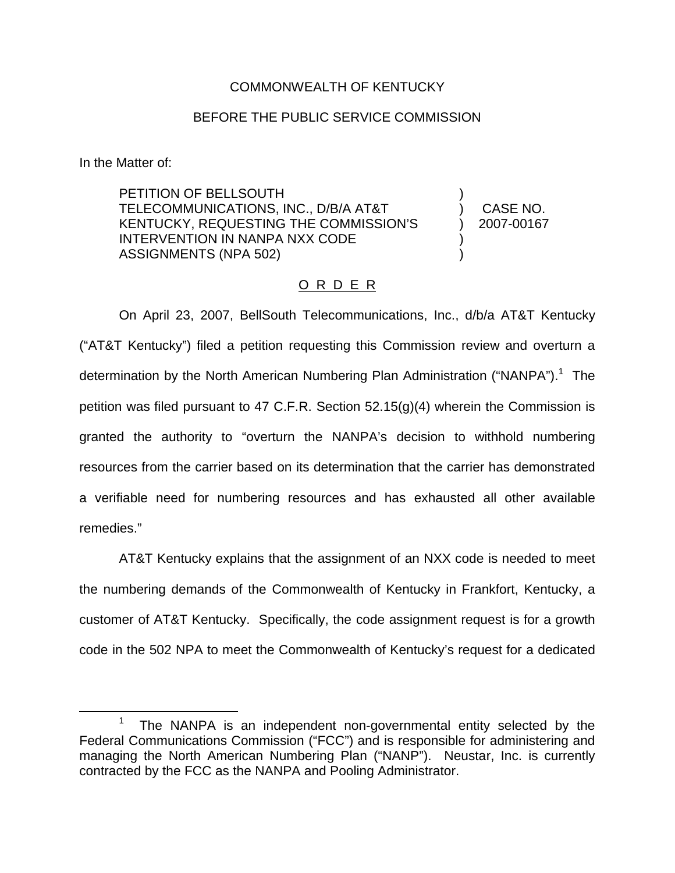## COMMONWEALTH OF KENTUCKY

## BEFORE THE PUBLIC SERVICE COMMISSION

In the Matter of:

PETITION OF BELLSOUTH TELECOMMUNICATIONS, INC., D/B/A AT&T KENTUCKY, REQUESTING THE COMMISSION'S INTERVENTION IN NANPA NXX CODE ASSIGNMENTS (NPA 502)

CASE NO. 2007-00167

) ) ) ) )

## O R D E R

On April 23, 2007, BellSouth Telecommunications, Inc., d/b/a AT&T Kentucky ("AT&T Kentucky") filed a petition requesting this Commission review and overturn a determination by the North American Numbering Plan Administration ("NANPA").<sup>1</sup> The petition was filed pursuant to 47 C.F.R. Section 52.15(g)(4) wherein the Commission is granted the authority to "overturn the NANPA's decision to withhold numbering resources from the carrier based on its determination that the carrier has demonstrated a verifiable need for numbering resources and has exhausted all other available remedies."

AT&T Kentucky explains that the assignment of an NXX code is needed to meet the numbering demands of the Commonwealth of Kentucky in Frankfort, Kentucky, a customer of AT&T Kentucky. Specifically, the code assignment request is for a growth code in the 502 NPA to meet the Commonwealth of Kentucky's request for a dedicated

The NANPA is an independent non-governmental entity selected by the Federal Communications Commission ("FCC") and is responsible for administering and managing the North American Numbering Plan ("NANP"). Neustar, Inc. is currently contracted by the FCC as the NANPA and Pooling Administrator.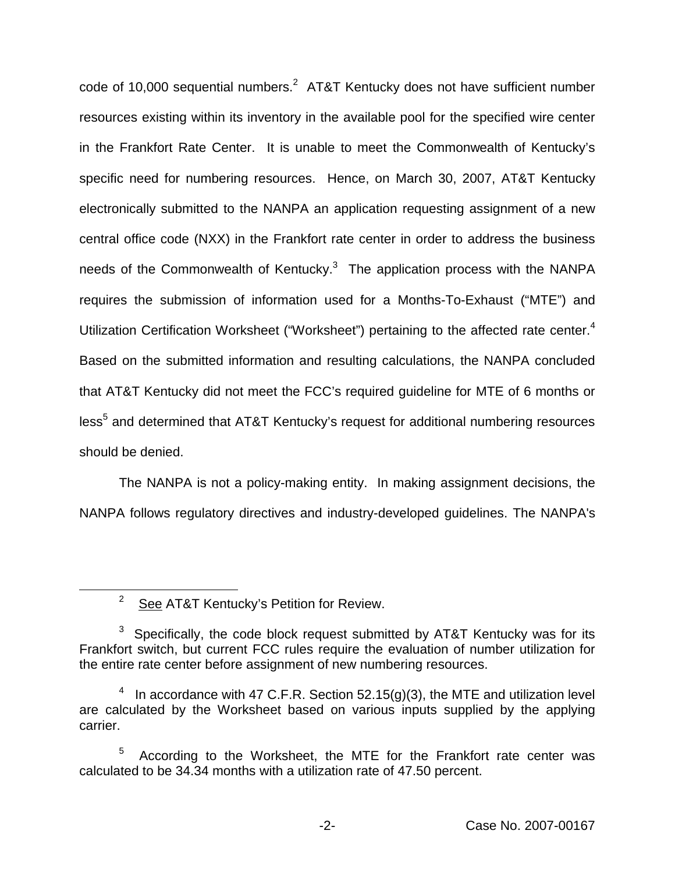code of 10,000 sequential numbers.<sup>2</sup> AT&T Kentucky does not have sufficient number resources existing within its inventory in the available pool for the specified wire center in the Frankfort Rate Center. It is unable to meet the Commonwealth of Kentucky's specific need for numbering resources. Hence, on March 30, 2007, AT&T Kentucky electronically submitted to the NANPA an application requesting assignment of a new central office code (NXX) in the Frankfort rate center in order to address the business needs of the Commonwealth of Kentucky.<sup>3</sup> The application process with the NANPA requires the submission of information used for a Months-To-Exhaust ("MTE") and Utilization Certification Worksheet ("Worksheet") pertaining to the affected rate center.<sup>4</sup> Based on the submitted information and resulting calculations, the NANPA concluded that AT&T Kentucky did not meet the FCC's required guideline for MTE of 6 months or less<sup>5</sup> and determined that AT&T Kentucky's request for additional numbering resources should be denied.

The NANPA is not a policy-making entity. In making assignment decisions, the NANPA follows regulatory directives and industry-developed guidelines. The NANPA's

<sup>&</sup>lt;sup>2</sup> See AT&T Kentucky's Petition for Review.

 $3$  Specifically, the code block request submitted by AT&T Kentucky was for its Frankfort switch, but current FCC rules require the evaluation of number utilization for the entire rate center before assignment of new numbering resources.

<sup>&</sup>lt;sup>4</sup> In accordance with 47 C.F.R. Section 52.15(g)(3), the MTE and utilization level are calculated by the Worksheet based on various inputs supplied by the applying carrier.

According to the Worksheet, the MTE for the Frankfort rate center was calculated to be 34.34 months with a utilization rate of 47.50 percent.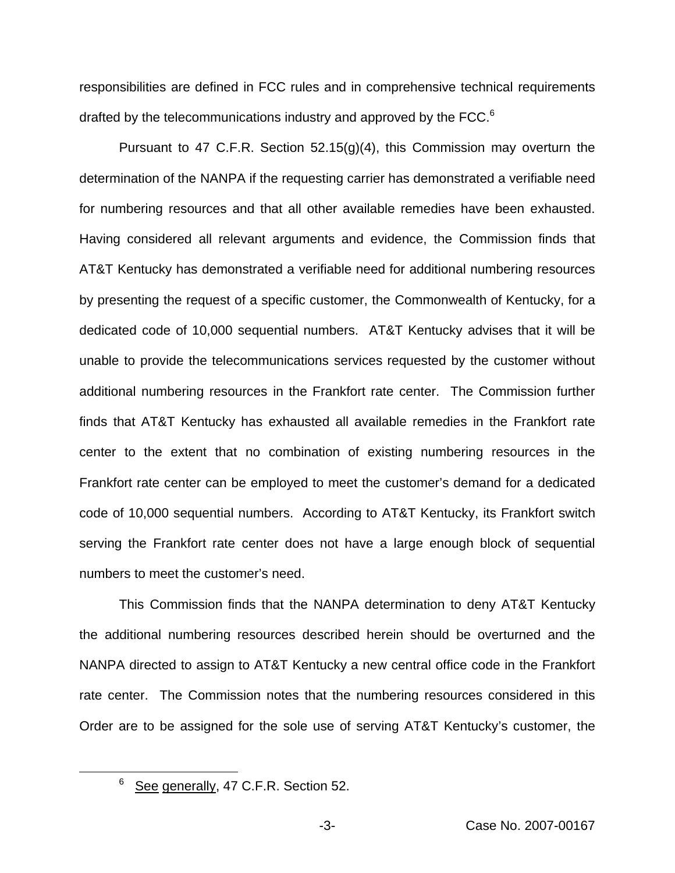responsibilities are defined in FCC rules and in comprehensive technical requirements drafted by the telecommunications industry and approved by the FCC.<sup>6</sup>

Pursuant to 47 C.F.R. Section  $52.15(g)(4)$ , this Commission may overturn the determination of the NANPA if the requesting carrier has demonstrated a verifiable need for numbering resources and that all other available remedies have been exhausted. Having considered all relevant arguments and evidence, the Commission finds that AT&T Kentucky has demonstrated a verifiable need for additional numbering resources by presenting the request of a specific customer, the Commonwealth of Kentucky, for a dedicated code of 10,000 sequential numbers. AT&T Kentucky advises that it will be unable to provide the telecommunications services requested by the customer without additional numbering resources in the Frankfort rate center. The Commission further finds that AT&T Kentucky has exhausted all available remedies in the Frankfort rate center to the extent that no combination of existing numbering resources in the Frankfort rate center can be employed to meet the customer's demand for a dedicated code of 10,000 sequential numbers. According to AT&T Kentucky, its Frankfort switch serving the Frankfort rate center does not have a large enough block of sequential numbers to meet the customer's need.

This Commission finds that the NANPA determination to deny AT&T Kentucky the additional numbering resources described herein should be overturned and the NANPA directed to assign to AT&T Kentucky a new central office code in the Frankfort rate center. The Commission notes that the numbering resources considered in this Order are to be assigned for the sole use of serving AT&T Kentucky's customer, the

<sup>&</sup>lt;sup>6</sup> See generally, 47 C.F.R. Section 52.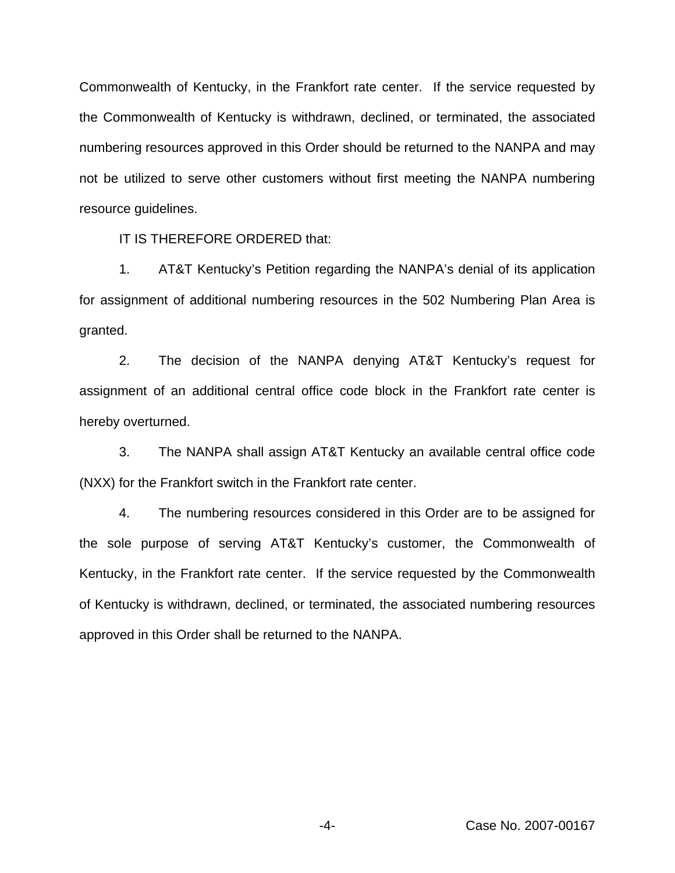Commonwealth of Kentucky, in the Frankfort rate center. If the service requested by the Commonwealth of Kentucky is withdrawn, declined, or terminated, the associated numbering resources approved in this Order should be returned to the NANPA and may not be utilized to serve other customers without first meeting the NANPA numbering resource guidelines.

IT IS THEREFORE ORDERED that:

1. AT&T Kentucky's Petition regarding the NANPA's denial of its application for assignment of additional numbering resources in the 502 Numbering Plan Area is granted.

2. The decision of the NANPA denying AT&T Kentucky's request for assignment of an additional central office code block in the Frankfort rate center is hereby overturned.

3. The NANPA shall assign AT&T Kentucky an available central office code (NXX) for the Frankfort switch in the Frankfort rate center.

4. The numbering resources considered in this Order are to be assigned for the sole purpose of serving AT&T Kentucky's customer, the Commonwealth of Kentucky, in the Frankfort rate center. If the service requested by the Commonwealth of Kentucky is withdrawn, declined, or terminated, the associated numbering resources approved in this Order shall be returned to the NANPA.